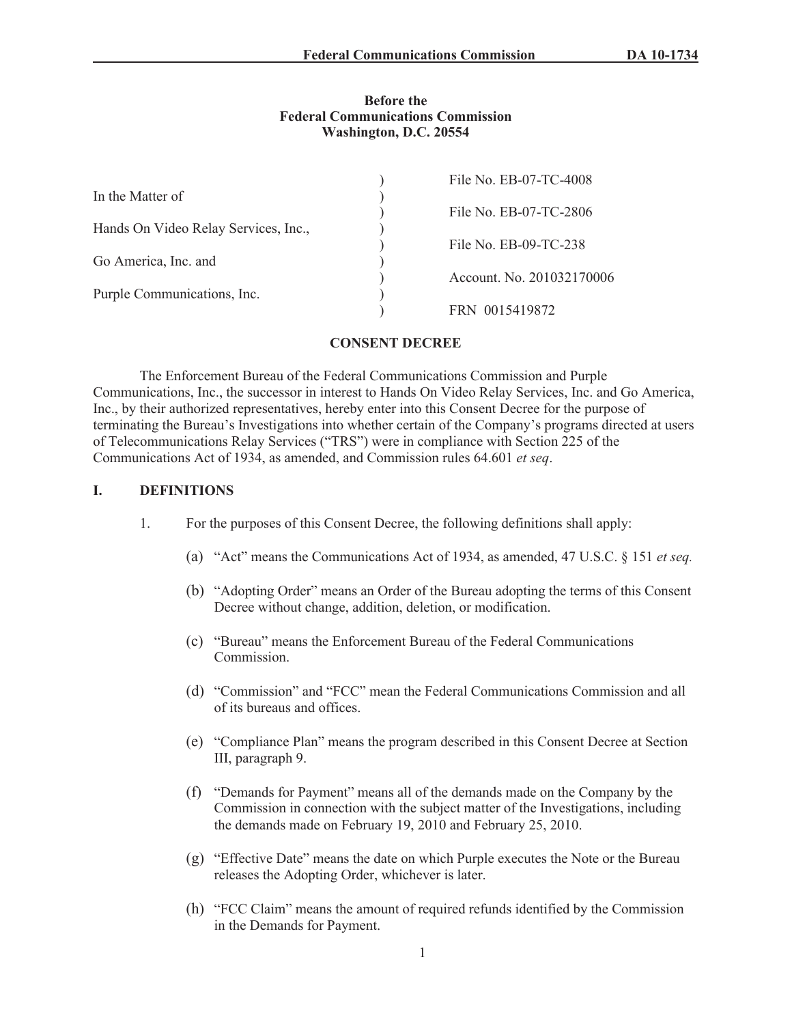#### **Before the Federal Communications Commission Washington, D.C. 20554**

| File No. EB-07-TC-4008    |
|---------------------------|
|                           |
| File No. EB-07-TC-2806    |
|                           |
| File No. EB-09-TC-238     |
|                           |
| Account. No. 201032170006 |
|                           |
| FRN 0015419872            |
|                           |

#### **CONSENT DECREE**

The Enforcement Bureau of the Federal Communications Commission and Purple Communications, Inc., the successor in interest to Hands On Video Relay Services, Inc. and Go America, Inc., by their authorized representatives, hereby enter into this Consent Decree for the purpose of terminating the Bureau's Investigations into whether certain of the Company's programs directed at users of Telecommunications Relay Services ("TRS") were in compliance with Section 225 of the Communications Act of 1934, as amended, and Commission rules 64.601 *et seq*.

## **I. DEFINITIONS**

- 1. For the purposes of this Consent Decree, the following definitions shall apply:
	- (a) "Act" means the Communications Act of 1934, as amended, 47 U.S.C. § 151 *et seq.*
	- (b) "Adopting Order" means an Order of the Bureau adopting the terms of this Consent Decree without change, addition, deletion, or modification.
	- (c) "Bureau" means the Enforcement Bureau of the Federal Communications **Commission**
	- (d) "Commission" and "FCC" mean the Federal Communications Commission and all of its bureaus and offices.
	- (e) "Compliance Plan" means the program described in this Consent Decree at Section III, paragraph 9.
	- (f) "Demands for Payment" means all of the demands made on the Company by the Commission in connection with the subject matter of the Investigations, including the demands made on February 19, 2010 and February 25, 2010.
	- (g) "Effective Date" means the date on which Purple executes the Note or the Bureau releases the Adopting Order, whichever is later.
	- (h) "FCC Claim" means the amount of required refunds identified by the Commission in the Demands for Payment.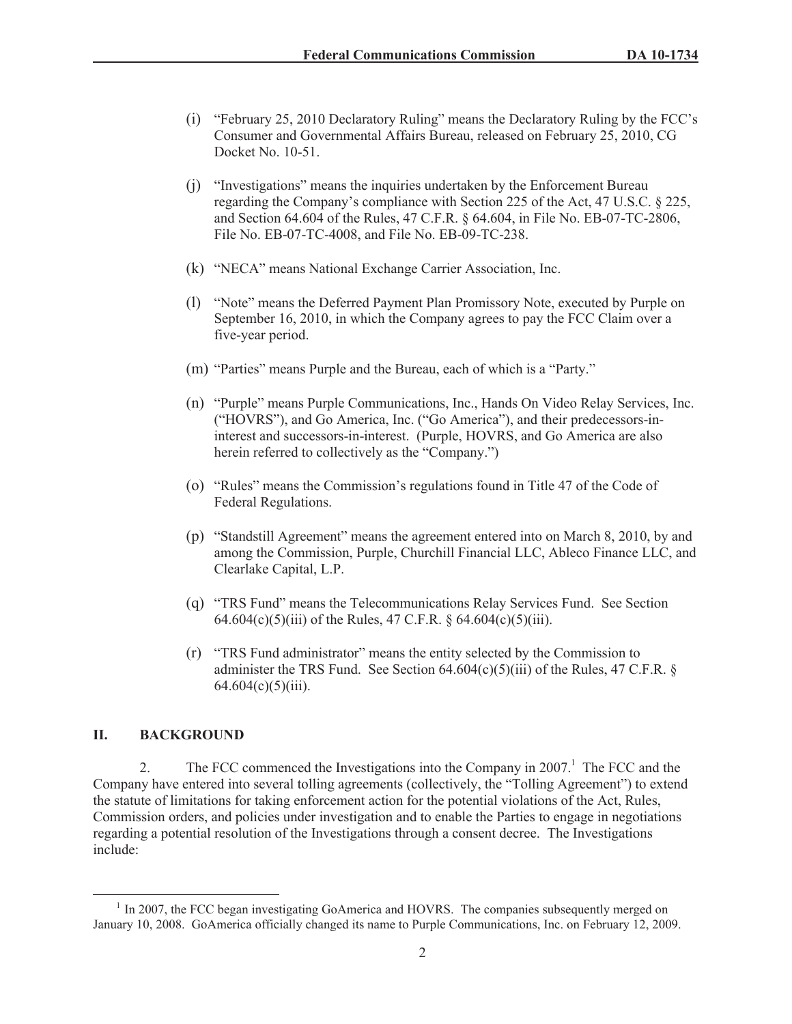- (i) "February 25, 2010 Declaratory Ruling" means the Declaratory Ruling by the FCC's Consumer and Governmental Affairs Bureau, released on February 25, 2010, CG Docket No. 10-51.
- (j) "Investigations" means the inquiries undertaken by the Enforcement Bureau regarding the Company's compliance with Section 225 of the Act, 47 U.S.C. § 225, and Section 64.604 of the Rules, 47 C.F.R. § 64.604, in File No. EB-07-TC-2806, File No. EB-07-TC-4008, and File No. EB-09-TC-238.
- (k) "NECA" means National Exchange Carrier Association, Inc.
- (l) "Note" means the Deferred Payment Plan Promissory Note, executed by Purple on September 16, 2010, in which the Company agrees to pay the FCC Claim over a five-year period.
- (m) "Parties" means Purple and the Bureau, each of which is a "Party."
- (n) "Purple" means Purple Communications, Inc., Hands On Video Relay Services, Inc. ("HOVRS"), and Go America, Inc. ("Go America"), and their predecessors-ininterest and successors-in-interest. (Purple, HOVRS, and Go America are also herein referred to collectively as the "Company.")
- (o) "Rules" means the Commission's regulations found in Title 47 of the Code of Federal Regulations.
- (p) "Standstill Agreement" means the agreement entered into on March 8, 2010, by and among the Commission, Purple, Churchill Financial LLC, Ableco Finance LLC, and Clearlake Capital, L.P.
- (q) "TRS Fund" means the Telecommunications Relay Services Fund. See Section 64.604(c)(5)(iii) of the Rules, 47 C.F.R. § 64.604(c)(5)(iii).
- (r) "TRS Fund administrator" means the entity selected by the Commission to administer the TRS Fund. See Section  $64.604(c)(5)(iii)$  of the Rules, 47 C.F.R. §  $64.604(c)(5)(iii)$ .

## **II. BACKGROUND**

2. The FCC commenced the Investigations into the Company in  $2007<sup>1</sup>$ . The FCC and the Company have entered into several tolling agreements (collectively, the "Tolling Agreement") to extend the statute of limitations for taking enforcement action for the potential violations of the Act, Rules, Commission orders, and policies under investigation and to enable the Parties to engage in negotiations regarding a potential resolution of the Investigations through a consent decree. The Investigations include:

<sup>&</sup>lt;sup>1</sup> In 2007, the FCC began investigating GoAmerica and HOVRS. The companies subsequently merged on January 10, 2008. GoAmerica officially changed its name to Purple Communications, Inc. on February 12, 2009.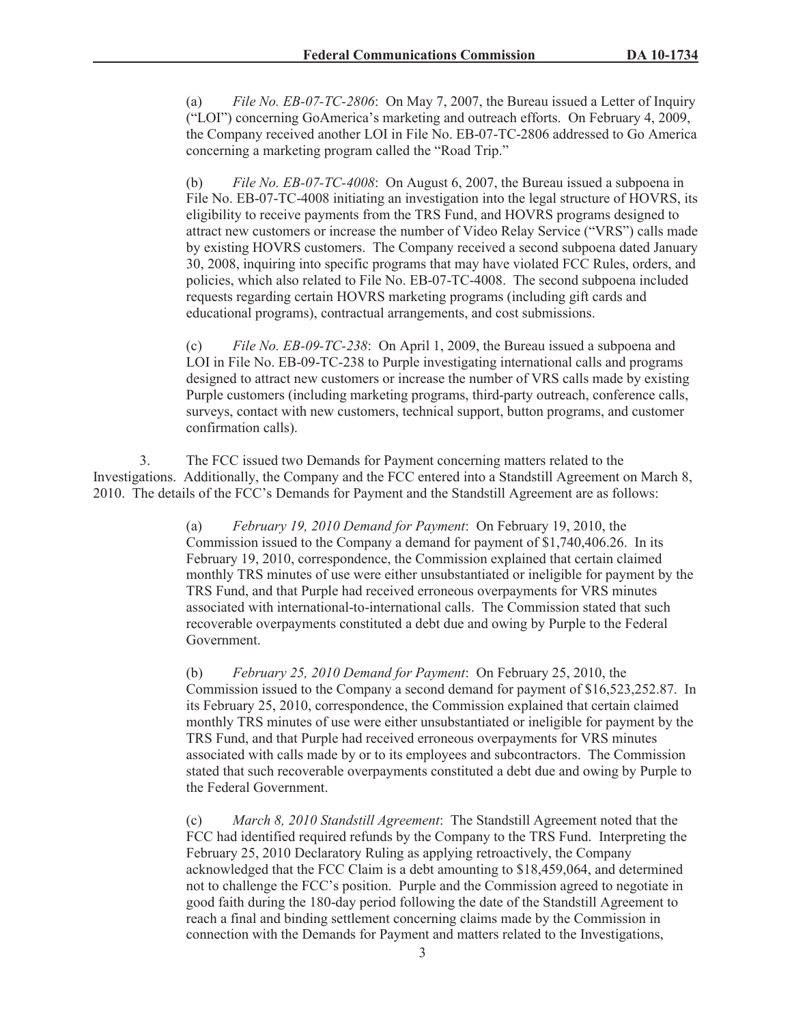(a) *File No. EB-07-TC-2806*: On May 7, 2007, the Bureau issued a Letter of Inquiry ("LOI") concerning GoAmerica's marketing and outreach efforts. On February 4, 2009, the Company received another LOI in File No. EB-07-TC-2806 addressed to Go America concerning a marketing program called the "Road Trip."

(b) *File No. EB-07-TC-4008*: On August 6, 2007, the Bureau issued a subpoena in File No. EB-07-TC-4008 initiating an investigation into the legal structure of HOVRS, its eligibility to receive payments from the TRS Fund, and HOVRS programs designed to attract new customers or increase the number of Video Relay Service ("VRS") calls made by existing HOVRS customers. The Company received a second subpoena dated January 30, 2008, inquiring into specific programs that may have violated FCC Rules, orders, and policies, which also related to File No. EB-07-TC-4008. The second subpoena included requests regarding certain HOVRS marketing programs (including gift cards and educational programs), contractual arrangements, and cost submissions.

(c) *File No. EB-09-TC-238*: On April 1, 2009, the Bureau issued a subpoena and LOI in File No. EB-09-TC-238 to Purple investigating international calls and programs designed to attract new customers or increase the number of VRS calls made by existing Purple customers (including marketing programs, third-party outreach, conference calls, surveys, contact with new customers, technical support, button programs, and customer confirmation calls).

3. The FCC issued two Demands for Payment concerning matters related to the Investigations. Additionally, the Company and the FCC entered into a Standstill Agreement on March 8, 2010. The details of the FCC's Demands for Payment and the Standstill Agreement are as follows:

> (a) *February 19, 2010 Demand for Payment*: On February 19, 2010, the Commission issued to the Company a demand for payment of \$1,740,406.26. In its February 19, 2010, correspondence, the Commission explained that certain claimed monthly TRS minutes of use were either unsubstantiated or ineligible for payment by the TRS Fund, and that Purple had received erroneous overpayments for VRS minutes associated with international-to-international calls. The Commission stated that such recoverable overpayments constituted a debt due and owing by Purple to the Federal Government.

> (b) *February 25, 2010 Demand for Payment*: On February 25, 2010, the Commission issued to the Company a second demand for payment of \$16,523,252.87. In its February 25, 2010, correspondence, the Commission explained that certain claimed monthly TRS minutes of use were either unsubstantiated or ineligible for payment by the TRS Fund, and that Purple had received erroneous overpayments for VRS minutes associated with calls made by or to its employees and subcontractors. The Commission stated that such recoverable overpayments constituted a debt due and owing by Purple to the Federal Government.

(c) *March 8, 2010 Standstill Agreement*: The Standstill Agreement noted that the FCC had identified required refunds by the Company to the TRS Fund. Interpreting the February 25, 2010 Declaratory Ruling as applying retroactively, the Company acknowledged that the FCC Claim is a debt amounting to \$18,459,064, and determined not to challenge the FCC's position. Purple and the Commission agreed to negotiate in good faith during the 180-day period following the date of the Standstill Agreement to reach a final and binding settlement concerning claims made by the Commission in connection with the Demands for Payment and matters related to the Investigations,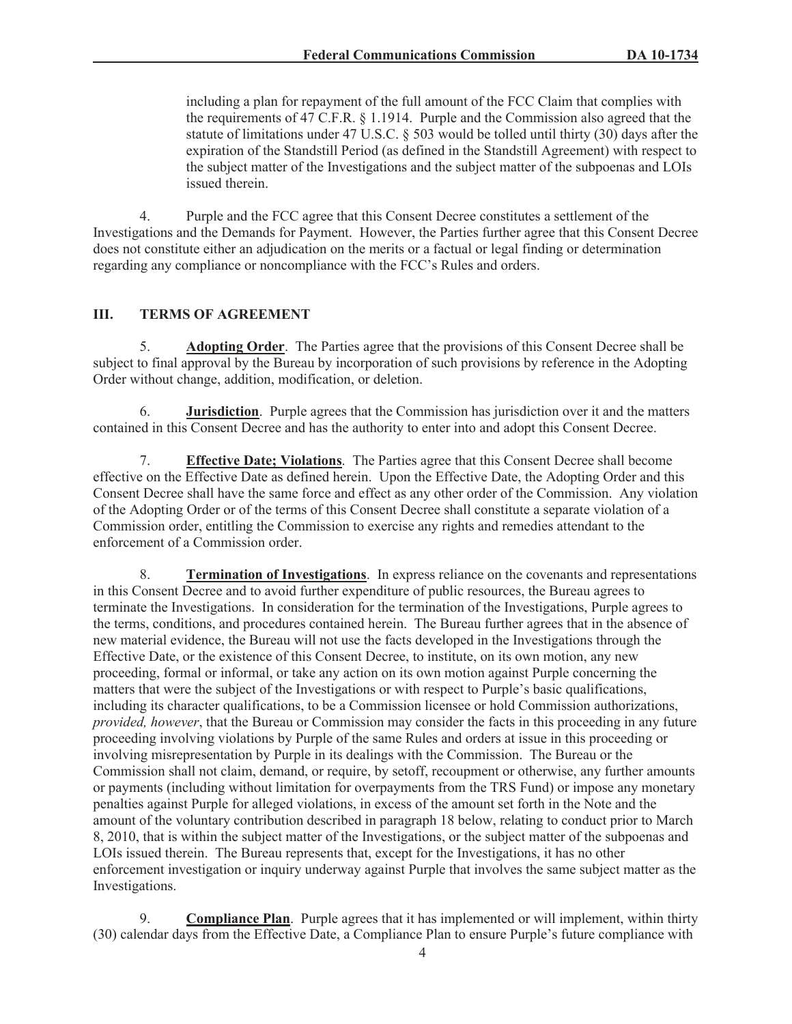including a plan for repayment of the full amount of the FCC Claim that complies with the requirements of 47 C.F.R. § 1.1914. Purple and the Commission also agreed that the statute of limitations under 47 U.S.C. § 503 would be tolled until thirty (30) days after the expiration of the Standstill Period (as defined in the Standstill Agreement) with respect to the subject matter of the Investigations and the subject matter of the subpoenas and LOIs issued therein.

4. Purple and the FCC agree that this Consent Decree constitutes a settlement of the Investigations and the Demands for Payment. However, the Parties further agree that this Consent Decree does not constitute either an adjudication on the merits or a factual or legal finding or determination regarding any compliance or noncompliance with the FCC's Rules and orders.

### **III. TERMS OF AGREEMENT**

5. **Adopting Order**. The Parties agree that the provisions of this Consent Decree shall be subject to final approval by the Bureau by incorporation of such provisions by reference in the Adopting Order without change, addition, modification, or deletion.

6. **Jurisdiction**. Purple agrees that the Commission has jurisdiction over it and the matters contained in this Consent Decree and has the authority to enter into and adopt this Consent Decree.

7. **Effective Date; Violations**. The Parties agree that this Consent Decree shall become effective on the Effective Date as defined herein. Upon the Effective Date, the Adopting Order and this Consent Decree shall have the same force and effect as any other order of the Commission. Any violation of the Adopting Order or of the terms of this Consent Decree shall constitute a separate violation of a Commission order, entitling the Commission to exercise any rights and remedies attendant to the enforcement of a Commission order.

8. **Termination of Investigations**. In express reliance on the covenants and representations in this Consent Decree and to avoid further expenditure of public resources, the Bureau agrees to terminate the Investigations. In consideration for the termination of the Investigations, Purple agrees to the terms, conditions, and procedures contained herein. The Bureau further agrees that in the absence of new material evidence, the Bureau will not use the facts developed in the Investigations through the Effective Date, or the existence of this Consent Decree, to institute, on its own motion, any new proceeding, formal or informal, or take any action on its own motion against Purple concerning the matters that were the subject of the Investigations or with respect to Purple's basic qualifications, including its character qualifications, to be a Commission licensee or hold Commission authorizations, *provided, however*, that the Bureau or Commission may consider the facts in this proceeding in any future proceeding involving violations by Purple of the same Rules and orders at issue in this proceeding or involving misrepresentation by Purple in its dealings with the Commission. The Bureau or the Commission shall not claim, demand, or require, by setoff, recoupment or otherwise, any further amounts or payments (including without limitation for overpayments from the TRS Fund) or impose any monetary penalties against Purple for alleged violations, in excess of the amount set forth in the Note and the amount of the voluntary contribution described in paragraph 18 below, relating to conduct prior to March 8, 2010, that is within the subject matter of the Investigations, or the subject matter of the subpoenas and LOIs issued therein. The Bureau represents that, except for the Investigations, it has no other enforcement investigation or inquiry underway against Purple that involves the same subject matter as the Investigations.

9. **Compliance Plan**. Purple agrees that it has implemented or will implement, within thirty (30) calendar days from the Effective Date, a Compliance Plan to ensure Purple's future compliance with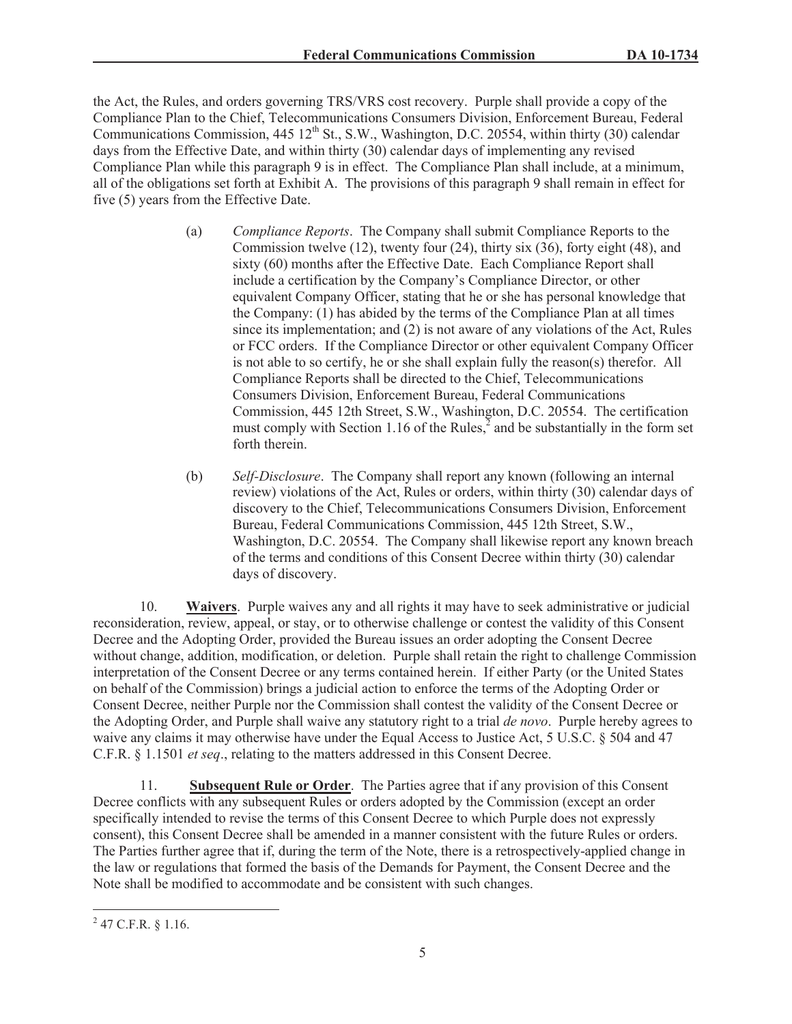the Act, the Rules, and orders governing TRS/VRS cost recovery. Purple shall provide a copy of the Compliance Plan to the Chief, Telecommunications Consumers Division, Enforcement Bureau, Federal Communications Commission, 445 12<sup>th</sup> St., S.W., Washington, D.C. 20554, within thirty (30) calendar days from the Effective Date, and within thirty (30) calendar days of implementing any revised Compliance Plan while this paragraph 9 is in effect. The Compliance Plan shall include, at a minimum, all of the obligations set forth at Exhibit A. The provisions of this paragraph 9 shall remain in effect for five (5) years from the Effective Date.

- (a) *Compliance Reports*. The Company shall submit Compliance Reports to the Commission twelve (12), twenty four (24), thirty six (36), forty eight (48), and sixty (60) months after the Effective Date. Each Compliance Report shall include a certification by the Company's Compliance Director, or other equivalent Company Officer, stating that he or she has personal knowledge that the Company:  $(1)$  has abided by the terms of the Compliance Plan at all times since its implementation; and (2) is not aware of any violations of the Act, Rules or FCC orders. If the Compliance Director or other equivalent Company Officer is not able to so certify, he or she shall explain fully the reason(s) therefor. All Compliance Reports shall be directed to the Chief, Telecommunications Consumers Division, Enforcement Bureau, Federal Communications Commission, 445 12th Street, S.W., Washington, D.C. 20554. The certification must comply with Section 1.16 of the Rules, $\frac{3}{2}$  and be substantially in the form set forth therein.
- (b) *Self-Disclosure*. The Company shall report any known (following an internal review) violations of the Act, Rules or orders, within thirty (30) calendar days of discovery to the Chief, Telecommunications Consumers Division, Enforcement Bureau, Federal Communications Commission, 445 12th Street, S.W., Washington, D.C. 20554. The Company shall likewise report any known breach of the terms and conditions of this Consent Decree within thirty (30) calendar days of discovery.

10. **Waivers**. Purple waives any and all rights it may have to seek administrative or judicial reconsideration, review, appeal, or stay, or to otherwise challenge or contest the validity of this Consent Decree and the Adopting Order, provided the Bureau issues an order adopting the Consent Decree without change, addition, modification, or deletion. Purple shall retain the right to challenge Commission interpretation of the Consent Decree or any terms contained herein. If either Party (or the United States on behalf of the Commission) brings a judicial action to enforce the terms of the Adopting Order or Consent Decree, neither Purple nor the Commission shall contest the validity of the Consent Decree or the Adopting Order, and Purple shall waive any statutory right to a trial *de novo*. Purple hereby agrees to waive any claims it may otherwise have under the Equal Access to Justice Act, 5 U.S.C. § 504 and 47 C.F.R. § 1.1501 *et seq*., relating to the matters addressed in this Consent Decree.

11. **Subsequent Rule or Order**. The Parties agree that if any provision of this Consent Decree conflicts with any subsequent Rules or orders adopted by the Commission (except an order specifically intended to revise the terms of this Consent Decree to which Purple does not expressly consent), this Consent Decree shall be amended in a manner consistent with the future Rules or orders. The Parties further agree that if, during the term of the Note, there is a retrospectively-applied change in the law or regulations that formed the basis of the Demands for Payment, the Consent Decree and the Note shall be modified to accommodate and be consistent with such changes.

 $^{2}$  47 C.F.R. § 1.16.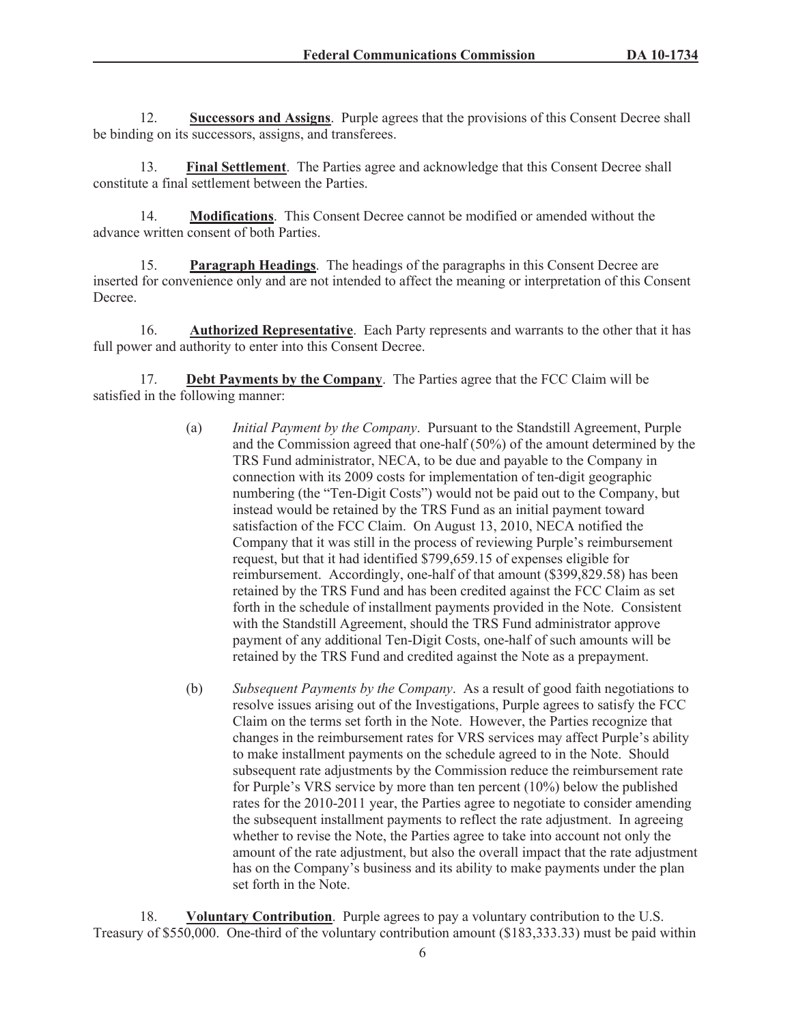12. **Successors and Assigns**. Purple agrees that the provisions of this Consent Decree shall be binding on its successors, assigns, and transferees.

13. **Final Settlement**. The Parties agree and acknowledge that this Consent Decree shall constitute a final settlement between the Parties.

14. **Modifications**. This Consent Decree cannot be modified or amended without the advance written consent of both Parties.

15. **Paragraph Headings**. The headings of the paragraphs in this Consent Decree are inserted for convenience only and are not intended to affect the meaning or interpretation of this Consent Decree.

16. **Authorized Representative**. Each Party represents and warrants to the other that it has full power and authority to enter into this Consent Decree.

17. **Debt Payments by the Company**. The Parties agree that the FCC Claim will be satisfied in the following manner:

- (a) *Initial Payment by the Company*. Pursuant to the Standstill Agreement, Purple and the Commission agreed that one-half (50%) of the amount determined by the TRS Fund administrator, NECA, to be due and payable to the Company in connection with its 2009 costs for implementation of ten-digit geographic numbering (the "Ten-Digit Costs") would not be paid out to the Company, but instead would be retained by the TRS Fund as an initial payment toward satisfaction of the FCC Claim. On August 13, 2010, NECA notified the Company that it was still in the process of reviewing Purple's reimbursement request, but that it had identified \$799,659.15 of expenses eligible for reimbursement. Accordingly, one-half of that amount (\$399,829.58) has been retained by the TRS Fund and has been credited against the FCC Claim as set forth in the schedule of installment payments provided in the Note. Consistent with the Standstill Agreement, should the TRS Fund administrator approve payment of any additional Ten-Digit Costs, one-half of such amounts will be retained by the TRS Fund and credited against the Note as a prepayment.
- (b) *Subsequent Payments by the Company*. As a result of good faith negotiations to resolve issues arising out of the Investigations, Purple agrees to satisfy the FCC Claim on the terms set forth in the Note. However, the Parties recognize that changes in the reimbursement rates for VRS services may affect Purple's ability to make installment payments on the schedule agreed to in the Note. Should subsequent rate adjustments by the Commission reduce the reimbursement rate for Purple's VRS service by more than ten percent (10%) below the published rates for the 2010-2011 year, the Parties agree to negotiate to consider amending the subsequent installment payments to reflect the rate adjustment. In agreeing whether to revise the Note, the Parties agree to take into account not only the amount of the rate adjustment, but also the overall impact that the rate adjustment has on the Company's business and its ability to make payments under the plan set forth in the Note.

18. **Voluntary Contribution**. Purple agrees to pay a voluntary contribution to the U.S. Treasury of \$550,000. One-third of the voluntary contribution amount (\$183,333.33) must be paid within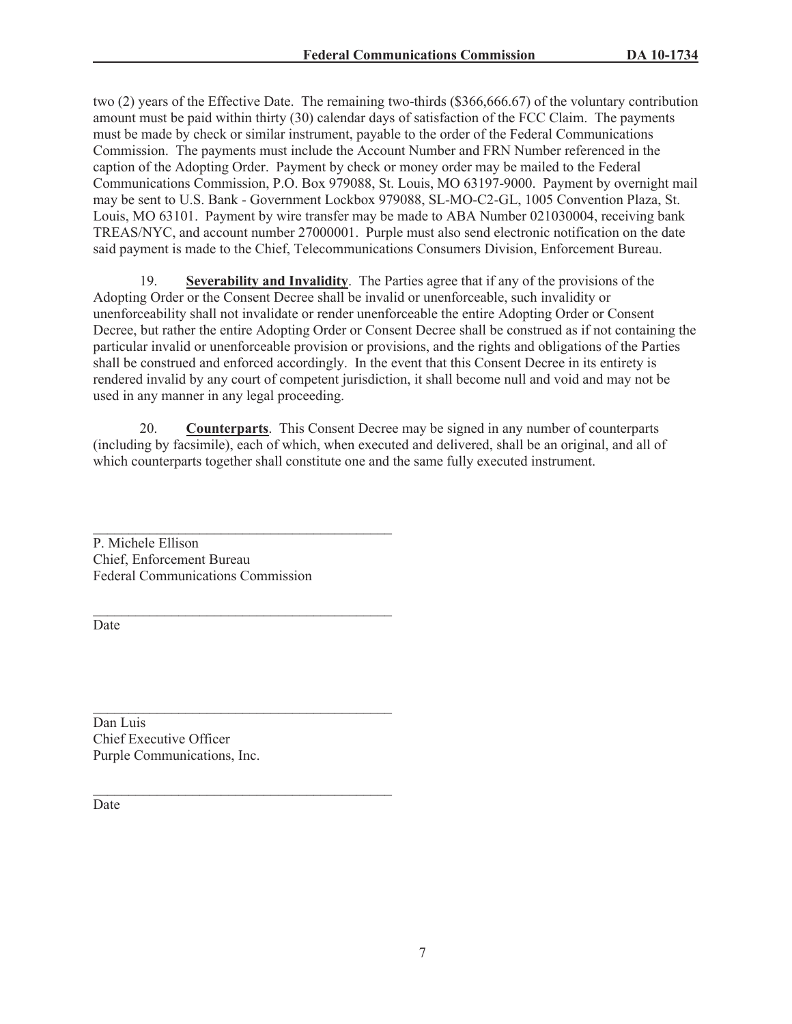two (2) years of the Effective Date. The remaining two-thirds (\$366,666.67) of the voluntary contribution amount must be paid within thirty (30) calendar days of satisfaction of the FCC Claim. The payments must be made by check or similar instrument, payable to the order of the Federal Communications Commission. The payments must include the Account Number and FRN Number referenced in the caption of the Adopting Order. Payment by check or money order may be mailed to the Federal Communications Commission, P.O. Box 979088, St. Louis, MO 63197-9000. Payment by overnight mail may be sent to U.S. Bank - Government Lockbox 979088, SL-MO-C2-GL, 1005 Convention Plaza, St. Louis, MO 63101. Payment by wire transfer may be made to ABA Number 021030004, receiving bank TREAS/NYC, and account number 27000001. Purple must also send electronic notification on the date said payment is made to the Chief, Telecommunications Consumers Division, Enforcement Bureau.

19. **Severability and Invalidity**. The Parties agree that if any of the provisions of the Adopting Order or the Consent Decree shall be invalid or unenforceable, such invalidity or unenforceability shall not invalidate or render unenforceable the entire Adopting Order or Consent Decree, but rather the entire Adopting Order or Consent Decree shall be construed as if not containing the particular invalid or unenforceable provision or provisions, and the rights and obligations of the Parties shall be construed and enforced accordingly. In the event that this Consent Decree in its entirety is rendered invalid by any court of competent jurisdiction, it shall become null and void and may not be used in any manner in any legal proceeding.

20. **Counterparts**. This Consent Decree may be signed in any number of counterparts (including by facsimile), each of which, when executed and delivered, shall be an original, and all of which counterparts together shall constitute one and the same fully executed instrument.

P. Michele Ellison Chief, Enforcement Bureau Federal Communications Commission

 $\mathcal{L}_\text{max}$  and  $\mathcal{L}_\text{max}$  and  $\mathcal{L}_\text{max}$  and  $\mathcal{L}_\text{max}$ 

 $\mathcal{L}_\text{max}$ 

 $\mathcal{L}_\text{max}$ 

Date

 $\mathcal{L}_\text{max}$  and  $\mathcal{L}_\text{max}$  and  $\mathcal{L}_\text{max}$  and  $\mathcal{L}_\text{max}$ Dan Luis Chief Executive Officer Purple Communications, Inc.

Date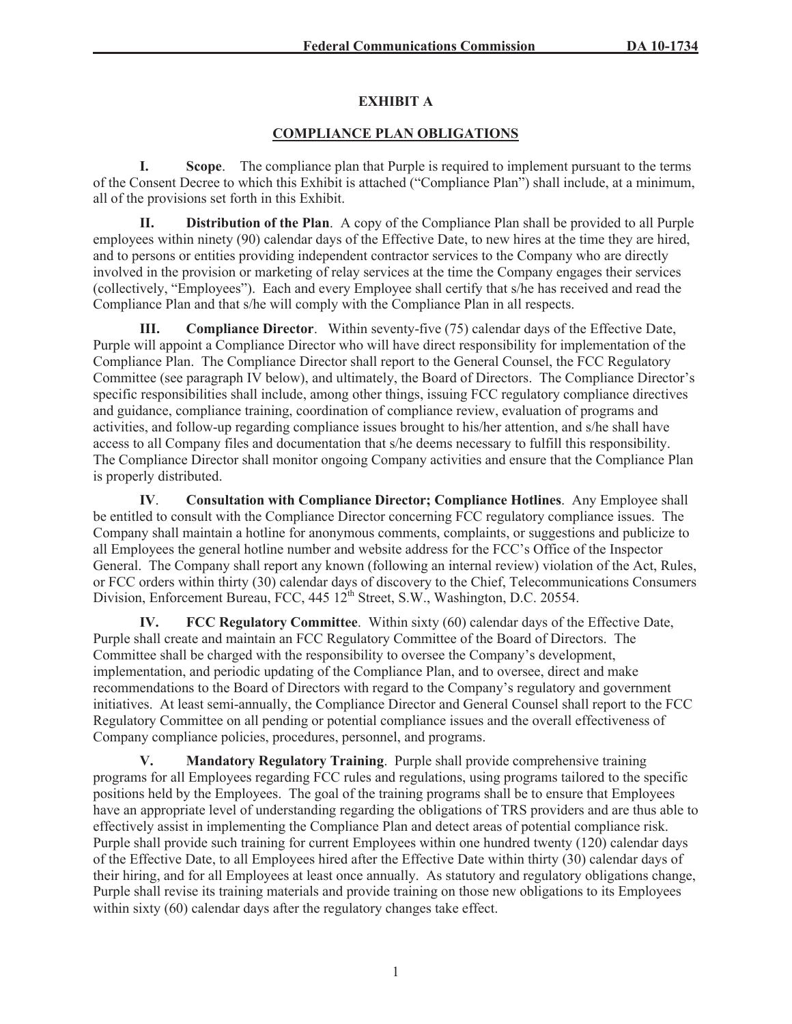# **EXHIBIT A**

# **COMPLIANCE PLAN OBLIGATIONS**

**I. Scope**. The compliance plan that Purple is required to implement pursuant to the terms of the Consent Decree to which this Exhibit is attached ("Compliance Plan") shall include, at a minimum, all of the provisions set forth in this Exhibit.

**II. Distribution of the Plan**. A copy of the Compliance Plan shall be provided to all Purple employees within ninety (90) calendar days of the Effective Date, to new hires at the time they are hired, and to persons or entities providing independent contractor services to the Company who are directly involved in the provision or marketing of relay services at the time the Company engages their services (collectively, "Employees"). Each and every Employee shall certify that s/he has received and read the Compliance Plan and that s/he will comply with the Compliance Plan in all respects.

**III. Compliance Director**. Within seventy-five (75) calendar days of the Effective Date, Purple will appoint a Compliance Director who will have direct responsibility for implementation of the Compliance Plan. The Compliance Director shall report to the General Counsel, the FCC Regulatory Committee (see paragraph IV below), and ultimately, the Board of Directors. The Compliance Director's specific responsibilities shall include, among other things, issuing FCC regulatory compliance directives and guidance, compliance training, coordination of compliance review, evaluation of programs and activities, and follow-up regarding compliance issues brought to his/her attention, and s/he shall have access to all Company files and documentation that s/he deems necessary to fulfill this responsibility. The Compliance Director shall monitor ongoing Company activities and ensure that the Compliance Plan is properly distributed.

**IV**. **Consultation with Compliance Director; Compliance Hotlines**. Any Employee shall be entitled to consult with the Compliance Director concerning FCC regulatory compliance issues. The Company shall maintain a hotline for anonymous comments, complaints, or suggestions and publicize to all Employees the general hotline number and website address for the FCC's Office of the Inspector General. The Company shall report any known (following an internal review) violation of the Act, Rules, or FCC orders within thirty (30) calendar days of discovery to the Chief, Telecommunications Consumers Division, Enforcement Bureau, FCC, 445 12<sup>th</sup> Street, S.W., Washington, D.C. 20554.

**IV. FCC Regulatory Committee**. Within sixty (60) calendar days of the Effective Date, Purple shall create and maintain an FCC Regulatory Committee of the Board of Directors. The Committee shall be charged with the responsibility to oversee the Company's development, implementation, and periodic updating of the Compliance Plan, and to oversee, direct and make recommendations to the Board of Directors with regard to the Company's regulatory and government initiatives. At least semi-annually, the Compliance Director and General Counsel shall report to the FCC Regulatory Committee on all pending or potential compliance issues and the overall effectiveness of Company compliance policies, procedures, personnel, and programs.

**V. Mandatory Regulatory Training**. Purple shall provide comprehensive training programs for all Employees regarding FCC rules and regulations, using programs tailored to the specific positions held by the Employees. The goal of the training programs shall be to ensure that Employees have an appropriate level of understanding regarding the obligations of TRS providers and are thus able to effectively assist in implementing the Compliance Plan and detect areas of potential compliance risk. Purple shall provide such training for current Employees within one hundred twenty (120) calendar days of the Effective Date, to all Employees hired after the Effective Date within thirty (30) calendar days of their hiring, and for all Employees at least once annually. As statutory and regulatory obligations change, Purple shall revise its training materials and provide training on those new obligations to its Employees within sixty (60) calendar days after the regulatory changes take effect.